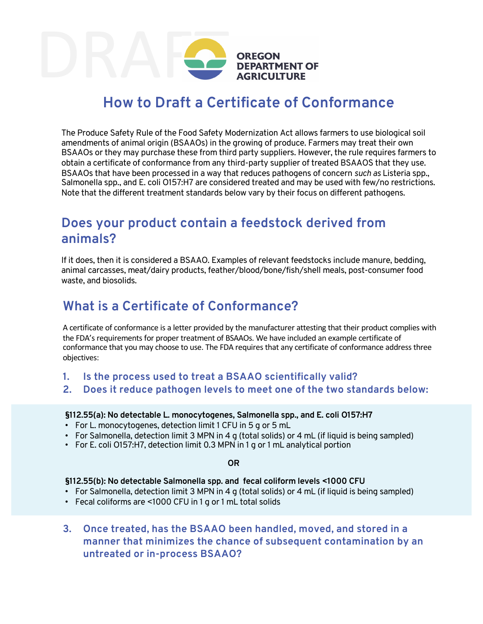

# **How to Draft a Certificate of Conformance**

The Produce Safety Rule of the Food Safety Modernization Act allows farmers to use biological soil amendments of animal origin (BSAAOs) in the growing of produce. Farmers may treat their own BSAAOs or they may purchase these from third party suppliers. However, the rule requires farmers to obtain a certificate of conformance from any third-party supplier of treated BSAAOS that they use. BSAAOs that have been processed in a way that reduces pathogens of concern *such as* Listeria spp., Salmonella spp., and E. coli O157:H7 are considered treated and may be used with few/no restrictions. Note that the different treatment standards below vary by their focus on different pathogens.

## **Does your product contain a feedstock derived from animals?**

If it does, then it is considered a BSAAO. Examples of relevant feedstocks include manure, bedding, animal carcasses, meat/dairy products, feather/blood/bone/fish/shell meals, post-consumer food waste, and biosolids.

## **What is a Certificate of Conformance?**

A certificate of conformance is a letter provided by the manufacturer attesting that their product complies with the FDA's requirements for proper treatment of BSAAOs. We have included an example certificate of conformance that you may choose to use. The FDA requires that any certificate of conformance address three objectives:

- **1. Is the process used to treat a BSAAO scientifically valid?**
- **2. Does it reduce pathogen levels to meet one of the two standards below:**

#### **§112.55(a): No detectable L. monocytogenes, Salmonella spp., and E. coli O157:H7**

- For L. monocytogenes, detection limit 1 CFU in 5 g or 5 mL
- For Salmonella, detection limit 3 MPN in 4 g (total solids) or 4 mL (if liquid is being sampled)
- For E. coli O157:H7, detection limit 0.3 MPN in 1 g or 1 mL analytical portion

**OR**

#### **§112.55(b): No detectable Salmonella spp. and fecal coliform levels <1000 CFU**

- For Salmonella, detection limit 3 MPN in 4 g (total solids) or 4 mL (if liquid is being sampled)
- Fecal coliforms are <1000 CFU in 1 g or 1 mL total solids
- **3. Once treated, has the BSAAO been handled, moved, and stored in a manner that minimizes the chance of subsequent contamination by an untreated or in-process BSAAO?**